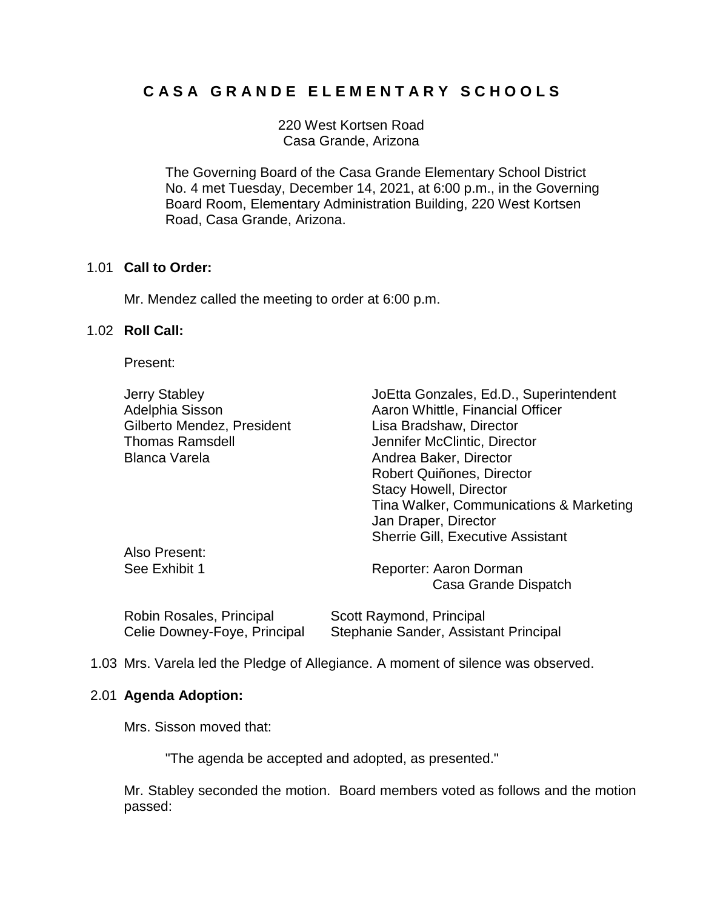# **C A S A G R A N D E E L E M E N T A R Y S C H O O L S**

220 West Kortsen Road Casa Grande, Arizona

The Governing Board of the Casa Grande Elementary School District No. 4 met Tuesday, December 14, 2021, at 6:00 p.m., in the Governing Board Room, Elementary Administration Building, 220 West Kortsen Road, Casa Grande, Arizona.

# 1.01 **Call to Order:**

Mr. Mendez called the meeting to order at 6:00 p.m.

# 1.02 **Roll Call:**

Present:

| <b>Jerry Stabley</b><br>Adelphia Sisson | JoEtta Gonzales, Ed.D., Superintendent<br>Aaron Whittle, Financial Officer |
|-----------------------------------------|----------------------------------------------------------------------------|
| Gilberto Mendez, President              | Lisa Bradshaw, Director                                                    |
| <b>Thomas Ramsdell</b>                  | Jennifer McClintic, Director                                               |
| <b>Blanca Varela</b>                    | Andrea Baker, Director                                                     |
|                                         | Robert Quiñones, Director                                                  |
|                                         | <b>Stacy Howell, Director</b>                                              |
|                                         | Tina Walker, Communications & Marketing<br>Jan Draper, Director            |
|                                         | <b>Sherrie Gill, Executive Assistant</b>                                   |
| Also Present:                           |                                                                            |
| See Exhibit 1                           | Reporter: Aaron Dorman                                                     |
|                                         | Casa Grande Dispatch                                                       |
| Robin Rosales, Principal                | Scott Raymond, Principal                                                   |

1.03 Mrs. Varela led the Pledge of Allegiance. A moment of silence was observed.

Celie Downey-Foye, Principal Stephanie Sander, Assistant Principal

# 2.01 **Agenda Adoption:**

Mrs. Sisson moved that:

"The agenda be accepted and adopted, as presented."

Mr. Stabley seconded the motion. Board members voted as follows and the motion passed: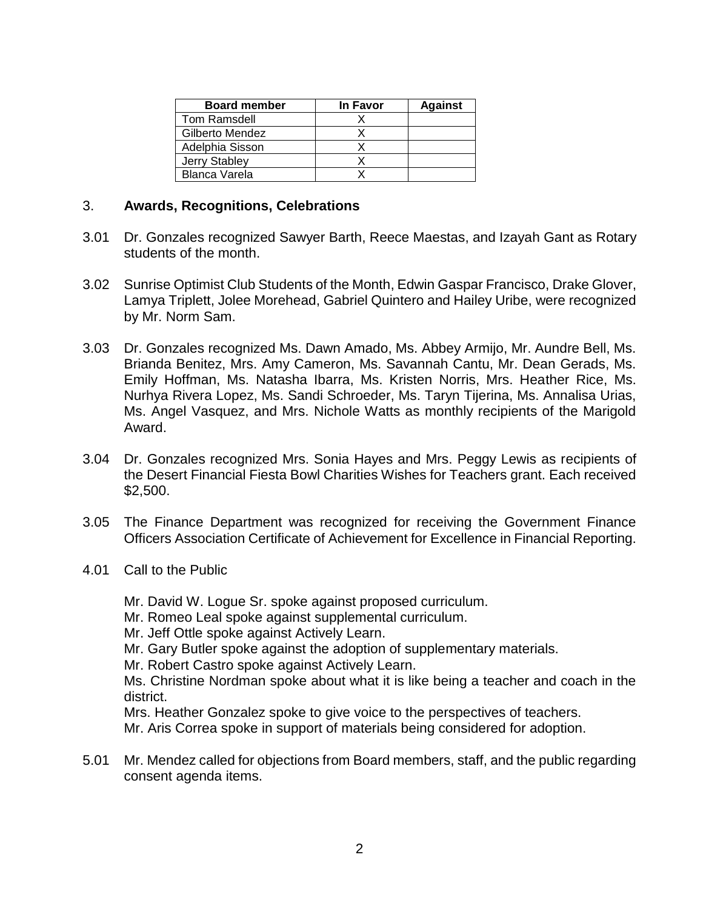| <b>Board member</b> | <b>In Favor</b> | <b>Against</b> |
|---------------------|-----------------|----------------|
| Tom Ramsdell        |                 |                |
| Gilberto Mendez     |                 |                |
| Adelphia Sisson     |                 |                |
| Jerry Stabley       |                 |                |
| Blanca Varela       |                 |                |

# 3. **Awards, Recognitions, Celebrations**

- 3.01 Dr. Gonzales recognized Sawyer Barth, Reece Maestas, and Izayah Gant as Rotary students of the month.
- 3.02 Sunrise Optimist Club Students of the Month, Edwin Gaspar Francisco, Drake Glover, Lamya Triplett, Jolee Morehead, Gabriel Quintero and Hailey Uribe, were recognized by Mr. Norm Sam.
- 3.03 Dr. Gonzales recognized Ms. Dawn Amado, Ms. Abbey Armijo, Mr. Aundre Bell, Ms. Brianda Benitez, Mrs. Amy Cameron, Ms. Savannah Cantu, Mr. Dean Gerads, Ms. Emily Hoffman, Ms. Natasha Ibarra, Ms. Kristen Norris, Mrs. Heather Rice, Ms. Nurhya Rivera Lopez, Ms. Sandi Schroeder, Ms. Taryn Tijerina, Ms. Annalisa Urias, Ms. Angel Vasquez, and Mrs. Nichole Watts as monthly recipients of the Marigold Award.
- 3.04 Dr. Gonzales recognized Mrs. Sonia Hayes and Mrs. Peggy Lewis as recipients of the Desert Financial Fiesta Bowl Charities Wishes for Teachers grant. Each received \$2,500.
- 3.05 The Finance Department was recognized for receiving the Government Finance Officers Association Certificate of Achievement for Excellence in Financial Reporting.
- 4.01 Call to the Public

Mr. David W. Logue Sr. spoke against proposed curriculum.

Mr. Romeo Leal spoke against supplemental curriculum.

Mr. Jeff Ottle spoke against Actively Learn.

Mr. Gary Butler spoke against the adoption of supplementary materials.

Mr. Robert Castro spoke against Actively Learn.

Ms. Christine Nordman spoke about what it is like being a teacher and coach in the district.

Mrs. Heather Gonzalez spoke to give voice to the perspectives of teachers.

Mr. Aris Correa spoke in support of materials being considered for adoption.

5.01 Mr. Mendez called for objections from Board members, staff, and the public regarding consent agenda items.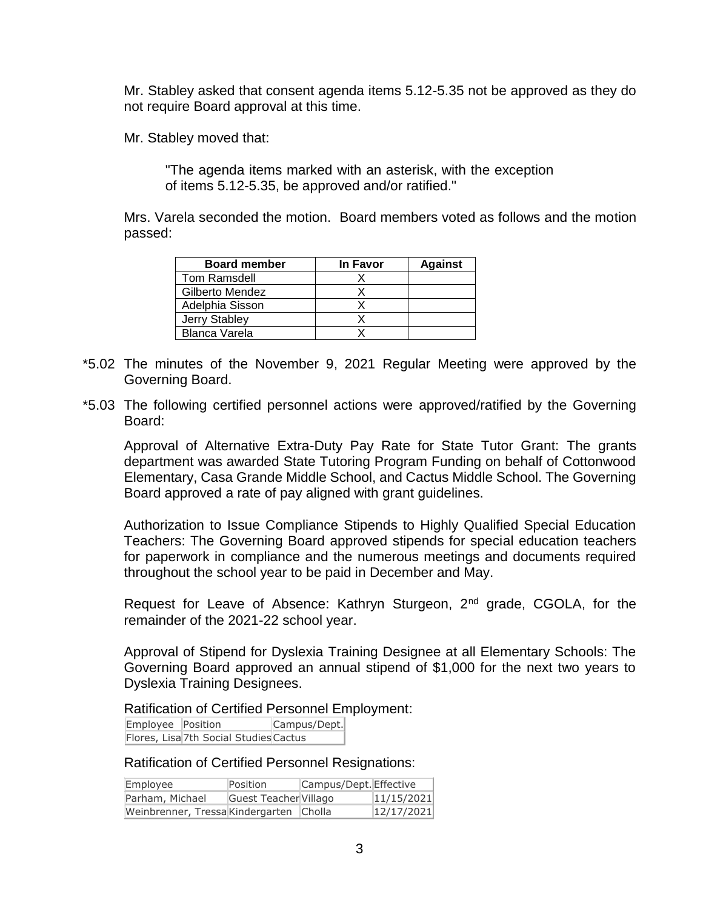Mr. Stabley asked that consent agenda items 5.12-5.35 not be approved as they do not require Board approval at this time.

Mr. Stabley moved that:

"The agenda items marked with an asterisk, with the exception of items 5.12-5.35, be approved and/or ratified."

Mrs. Varela seconded the motion. Board members voted as follows and the motion passed:

| <b>Board member</b> | In Favor | <b>Against</b> |
|---------------------|----------|----------------|
| <b>Tom Ramsdell</b> |          |                |
| Gilberto Mendez     |          |                |
| Adelphia Sisson     |          |                |
| Jerry Stabley       |          |                |
| Blanca Varela       |          |                |

- \*5.02 The minutes of the November 9, 2021 Regular Meeting were approved by the Governing Board.
- \*5.03 The following certified personnel actions were approved/ratified by the Governing Board:

Approval of Alternative Extra-Duty Pay Rate for State Tutor Grant: The grants department was awarded State Tutoring Program Funding on behalf of Cottonwood Elementary, Casa Grande Middle School, and Cactus Middle School. The Governing Board approved a rate of pay aligned with grant guidelines.

Authorization to Issue Compliance Stipends to Highly Qualified Special Education Teachers: The Governing Board approved stipends for special education teachers for paperwork in compliance and the numerous meetings and documents required throughout the school year to be paid in December and May.

Request for Leave of Absence: Kathryn Sturgeon, 2<sup>nd</sup> grade, CGOLA, for the remainder of the 2021-22 school year.

Approval of Stipend for Dyslexia Training Designee at all Elementary Schools: The Governing Board approved an annual stipend of \$1,000 for the next two years to Dyslexia Training Designees.

Ratification of Certified Personnel Employment:

Employee Position Campus/Dept. Flores, Lisa 7th Social Studies Cactus

# Ratification of Certified Personnel Resignations:

| Employee                                | Position              | Campus/Dept. Effective |            |
|-----------------------------------------|-----------------------|------------------------|------------|
| Parham, Michael                         | Guest Teacher Villago |                        | 11/15/2021 |
| Weinbrenner, Tressa Kindergarten Cholla |                       |                        | 12/17/2021 |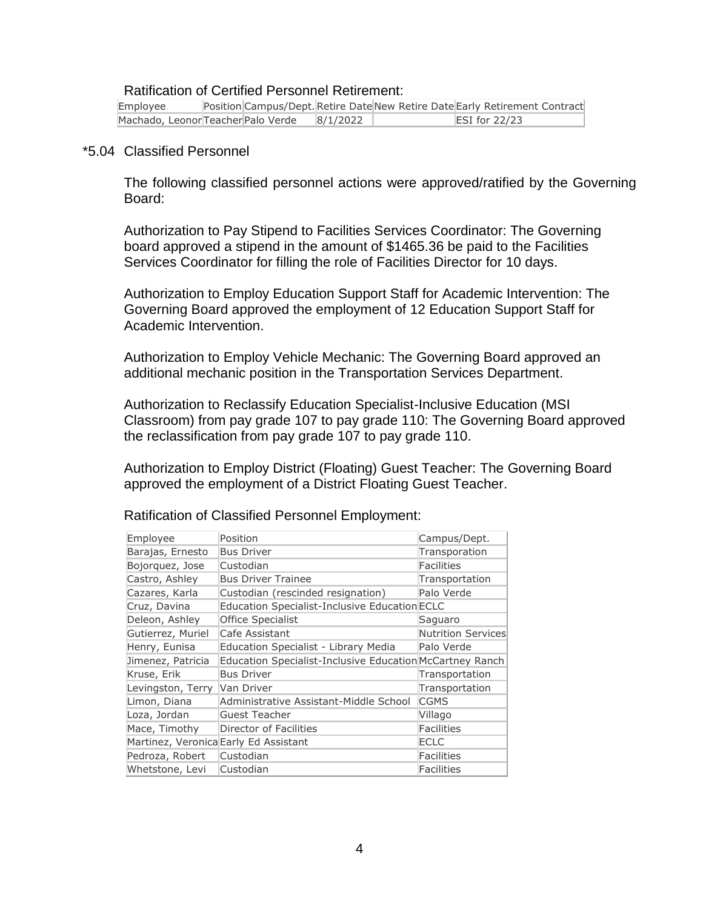# Ratification of Certified Personnel Retirement:

| Employee                           |  |          | Position Campus/Dept. Retire Date New Retire Date Early Retirement Contract |                 |  |
|------------------------------------|--|----------|-----------------------------------------------------------------------------|-----------------|--|
| Machado, Leonor Teacher Palo Verde |  | 8/1/2022 |                                                                             | $ESI$ for 22/23 |  |

#### \*5.04 Classified Personnel

The following classified personnel actions were approved/ratified by the Governing Board:

Authorization to Pay Stipend to Facilities Services Coordinator: The Governing board approved a stipend in the amount of \$1465.36 be paid to the Facilities Services Coordinator for filling the role of Facilities Director for 10 days.

Authorization to Employ Education Support Staff for Academic Intervention: The Governing Board approved the employment of 12 Education Support Staff for Academic Intervention.

Authorization to Employ Vehicle Mechanic: The Governing Board approved an additional mechanic position in the Transportation Services Department.

Authorization to Reclassify Education Specialist-Inclusive Education (MSI Classroom) from pay grade 107 to pay grade 110: The Governing Board approved the reclassification from pay grade 107 to pay grade 110.

Authorization to Employ District (Floating) Guest Teacher: The Governing Board approved the employment of a District Floating Guest Teacher.

| Employee          | Position                                                        | Campus/Dept.              |
|-------------------|-----------------------------------------------------------------|---------------------------|
| Barajas, Ernesto  | <b>Bus Driver</b>                                               | Transporation             |
| Bojorquez, Jose   | Custodian                                                       | <b>Facilities</b>         |
| Castro, Ashley    | <b>Bus Driver Trainee</b>                                       | Transportation            |
| Cazares, Karla    | Custodian (rescinded resignation)                               | Palo Verde                |
| Cruz, Davina      | Education Specialist-Inclusive Education ECLC                   |                           |
| Deleon, Ashley    | Office Specialist                                               | Saguaro                   |
| Gutierrez, Muriel | Cafe Assistant                                                  | <b>Nutrition Services</b> |
| Henry, Eunisa     | Education Specialist - Library Media                            | Palo Verde                |
| Jimenez, Patricia | <b>Education Specialist-Inclusive Education McCartney Ranch</b> |                           |
| Kruse, Erik       | <b>Bus Driver</b>                                               | Transportation            |
| Levingston, Terry | Van Driver                                                      | Transportation            |
| Limon, Diana      | Administrative Assistant-Middle School                          | <b>CGMS</b>               |
| Loza, Jordan      | Guest Teacher                                                   | Villago                   |
| Mace, Timothy     | Director of Facilities                                          | Facilities                |
|                   | Martinez, Veronica Early Ed Assistant                           | <b>ECLC</b>               |
| Pedroza, Robert   | Custodian                                                       | Facilities                |
| Whetstone, Levi   | Custodian                                                       | Facilities                |

Ratification of Classified Personnel Employment: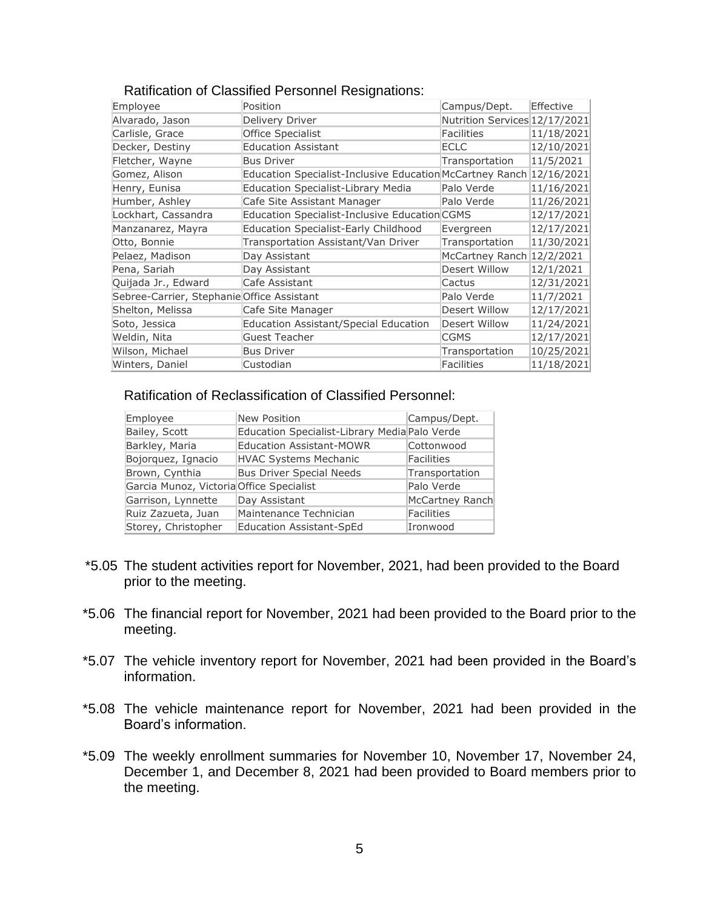| Employee                                   | Position                                                            | Campus/Dept.                  | Effective  |
|--------------------------------------------|---------------------------------------------------------------------|-------------------------------|------------|
| Alvarado, Jason                            | Delivery Driver                                                     | Nutrition Services 12/17/2021 |            |
| Carlisle, Grace                            | Office Specialist                                                   | Facilities                    | 11/18/2021 |
| Decker, Destiny                            | <b>Education Assistant</b>                                          | <b>ECLC</b>                   | 12/10/2021 |
| Fletcher, Wayne                            | <b>Bus Driver</b>                                                   | Transportation                | 11/5/2021  |
| Gomez, Alison                              | Education Specialist-Inclusive Education McCartney Ranch 12/16/2021 |                               |            |
| Henry, Eunisa                              | <b>Education Specialist-Library Media</b>                           | Palo Verde                    | 11/16/2021 |
| Humber, Ashley                             | Cafe Site Assistant Manager                                         | Palo Verde                    | 11/26/2021 |
| Lockhart, Cassandra                        | <b>Education Specialist-Inclusive Education CGMS</b>                |                               | 12/17/2021 |
| Manzanarez, Mayra                          | <b>Education Specialist-Early Childhood</b>                         | Evergreen                     | 12/17/2021 |
| Otto, Bonnie                               | Transportation Assistant/Van Driver                                 | Transportation                | 11/30/2021 |
| Pelaez, Madison                            | Day Assistant                                                       | McCartney Ranch 12/2/2021     |            |
| Pena, Sariah                               | Day Assistant                                                       | Desert Willow                 | 12/1/2021  |
| Quijada Jr., Edward                        | Cafe Assistant                                                      | Cactus                        | 12/31/2021 |
| Sebree-Carrier, Stephanie Office Assistant |                                                                     | Palo Verde                    | 11/7/2021  |
| Shelton, Melissa                           | Cafe Site Manager                                                   | Desert Willow                 | 12/17/2021 |
| Soto, Jessica                              | Education Assistant/Special Education                               | Desert Willow                 | 11/24/2021 |
| Weldin, Nita                               | Guest Teacher                                                       | <b>CGMS</b>                   | 12/17/2021 |
| Wilson, Michael                            | <b>Bus Driver</b>                                                   | Transportation                | 10/25/2021 |
| Winters, Daniel                            | Custodian                                                           | Facilities                    | 11/18/2021 |

### Ratification of Classified Personnel Resignations:

Ratification of Reclassification of Classified Personnel:

| Employee                                 | <b>New Position</b>                           | Campus/Dept.    |
|------------------------------------------|-----------------------------------------------|-----------------|
| Bailey, Scott                            | Education Specialist-Library Media Palo Verde |                 |
| Barkley, Maria                           | <b>Education Assistant-MOWR</b>               | Cottonwood      |
| Bojorquez, Ignacio                       | <b>HVAC Systems Mechanic</b>                  | Facilities      |
| Brown, Cynthia                           | <b>Bus Driver Special Needs</b>               | Transportation  |
| Garcia Munoz, Victoria Office Specialist |                                               | Palo Verde      |
| Garrison, Lynnette                       | Day Assistant                                 | McCartney Ranch |
| Ruiz Zazueta, Juan                       | Maintenance Technician                        | Facilities      |
| Storey, Christopher                      | <b>Education Assistant-SpEd</b>               | Ironwood        |

- \*5.05 The student activities report for November, 2021, had been provided to the Board prior to the meeting.
- \*5.06 The financial report for November, 2021 had been provided to the Board prior to the meeting.
- \*5.07 The vehicle inventory report for November, 2021 had been provided in the Board's information.
- \*5.08 The vehicle maintenance report for November, 2021 had been provided in the Board's information.
- \*5.09 The weekly enrollment summaries for November 10, November 17, November 24, December 1, and December 8, 2021 had been provided to Board members prior to the meeting.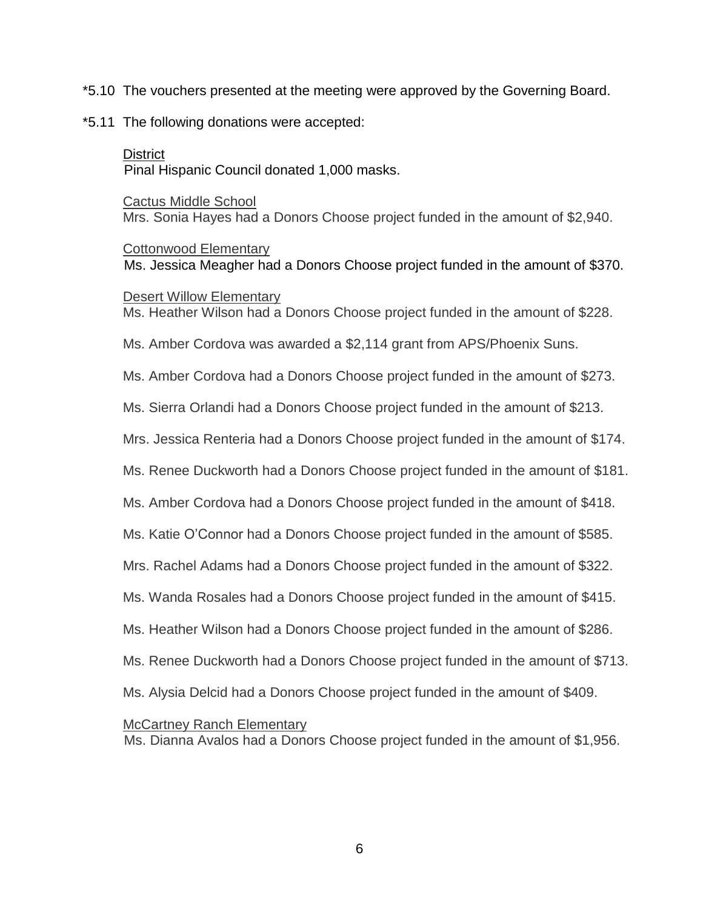- \*5.10 The vouchers presented at the meeting were approved by the Governing Board.
- \*5.11 The following donations were accepted:

# **District**

Pinal Hispanic Council donated 1,000 masks.

Cactus Middle School Mrs. Sonia Hayes had a Donors Choose project funded in the amount of \$2,940.

Cottonwood Elementary Ms. Jessica Meagher had a Donors Choose project funded in the amount of \$370.

# Desert Willow Elementary

Ms. Heather Wilson had a Donors Choose project funded in the amount of \$228.

Ms. Amber Cordova was awarded a \$2,114 grant from APS/Phoenix Suns.

Ms. Amber Cordova had a Donors Choose project funded in the amount of \$273.

Ms. Sierra Orlandi had a Donors Choose project funded in the amount of \$213.

Mrs. Jessica Renteria had a Donors Choose project funded in the amount of \$174.

Ms. Renee Duckworth had a Donors Choose project funded in the amount of \$181.

Ms. Amber Cordova had a Donors Choose project funded in the amount of \$418.

Ms. Katie O'Connor had a Donors Choose project funded in the amount of \$585.

Mrs. Rachel Adams had a Donors Choose project funded in the amount of \$322.

Ms. Wanda Rosales had a Donors Choose project funded in the amount of \$415.

Ms. Heather Wilson had a Donors Choose project funded in the amount of \$286.

Ms. Renee Duckworth had a Donors Choose project funded in the amount of \$713.

Ms. Alysia Delcid had a Donors Choose project funded in the amount of \$409.

McCartney Ranch Elementary

Ms. Dianna Avalos had a Donors Choose project funded in the amount of \$1,956.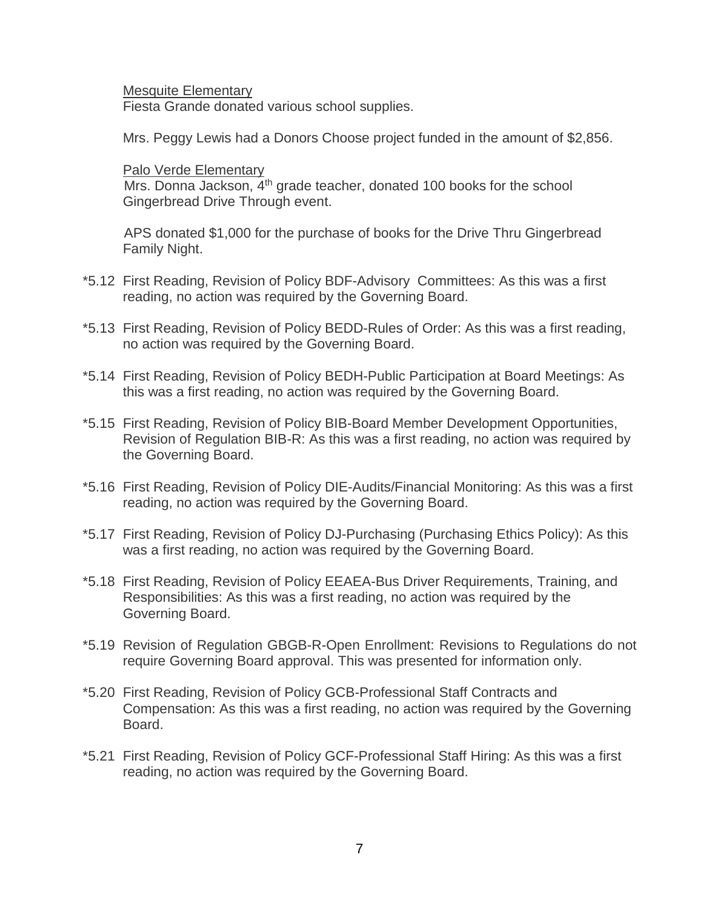Mesquite Elementary

Fiesta Grande donated various school supplies.

Mrs. Peggy Lewis had a Donors Choose project funded in the amount of \$2,856.

Palo Verde Elementary

Mrs. Donna Jackson, 4<sup>th</sup> grade teacher, donated 100 books for the school Gingerbread Drive Through event.

APS donated \$1,000 for the purchase of books for the Drive Thru Gingerbread Family Night.

- \*5.12 First Reading, Revision of Policy BDF-Advisory Committees: As this was a first reading, no action was required by the Governing Board.
- \*5.13 First Reading, Revision of Policy BEDD-Rules of Order: As this was a first reading, no action was required by the Governing Board.
- \*5.14 First Reading, Revision of Policy BEDH-Public Participation at Board Meetings: As this was a first reading, no action was required by the Governing Board.
- \*5.15 First Reading, Revision of Policy BIB-Board Member Development Opportunities, Revision of Regulation BIB-R: As this was a first reading, no action was required by the Governing Board.
- \*5.16 First Reading, Revision of Policy DIE-Audits/Financial Monitoring: As this was a first reading, no action was required by the Governing Board.
- \*5.17 First Reading, Revision of Policy DJ-Purchasing (Purchasing Ethics Policy): As this was a first reading, no action was required by the Governing Board.
- \*5.18 First Reading, Revision of Policy EEAEA-Bus Driver Requirements, Training, and Responsibilities: As this was a first reading, no action was required by the Governing Board.
- \*5.19 Revision of Regulation GBGB-R-Open Enrollment: Revisions to Regulations do not require Governing Board approval. This was presented for information only.
- \*5.20 First Reading, Revision of Policy GCB-Professional Staff Contracts and Compensation: As this was a first reading, no action was required by the Governing Board.
- \*5.21 First Reading, Revision of Policy GCF-Professional Staff Hiring: As this was a first reading, no action was required by the Governing Board.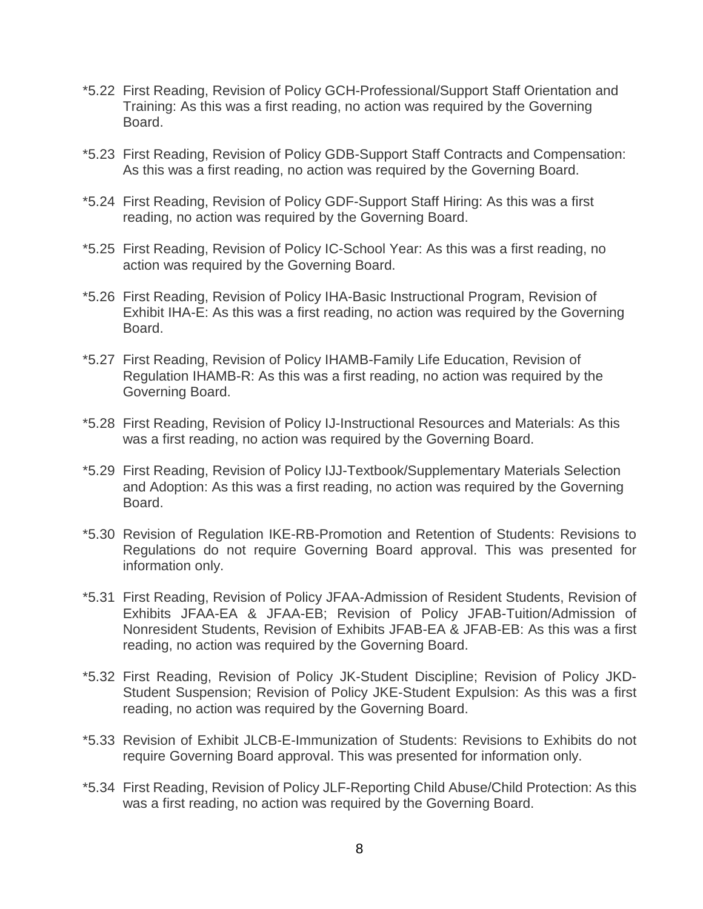- \*5.22 First Reading, Revision of Policy GCH-Professional/Support Staff Orientation and Training: As this was a first reading, no action was required by the Governing Board.
- \*5.23 First Reading, Revision of Policy GDB-Support Staff Contracts and Compensation: As this was a first reading, no action was required by the Governing Board.
- \*5.24 First Reading, Revision of Policy GDF-Support Staff Hiring: As this was a first reading, no action was required by the Governing Board.
- \*5.25 First Reading, Revision of Policy IC-School Year: As this was a first reading, no action was required by the Governing Board.
- \*5.26 First Reading, Revision of Policy IHA-Basic Instructional Program, Revision of Exhibit IHA-E: As this was a first reading, no action was required by the Governing Board.
- \*5.27 First Reading, Revision of Policy IHAMB-Family Life Education, Revision of Regulation IHAMB-R: As this was a first reading, no action was required by the Governing Board.
- \*5.28 First Reading, Revision of Policy IJ-Instructional Resources and Materials: As this was a first reading, no action was required by the Governing Board.
- \*5.29 First Reading, Revision of Policy IJJ-Textbook/Supplementary Materials Selection and Adoption: As this was a first reading, no action was required by the Governing Board.
- \*5.30 Revision of Regulation IKE-RB-Promotion and Retention of Students: Revisions to Regulations do not require Governing Board approval. This was presented for information only.
- \*5.31 First Reading, Revision of Policy JFAA-Admission of Resident Students, Revision of Exhibits JFAA-EA & JFAA-EB; Revision of Policy JFAB-Tuition/Admission of Nonresident Students, Revision of Exhibits JFAB-EA & JFAB-EB: As this was a first reading, no action was required by the Governing Board.
- \*5.32 First Reading, Revision of Policy JK-Student Discipline; Revision of Policy JKD-Student Suspension; Revision of Policy JKE-Student Expulsion: As this was a first reading, no action was required by the Governing Board.
- \*5.33 Revision of Exhibit JLCB-E-Immunization of Students: Revisions to Exhibits do not require Governing Board approval. This was presented for information only.
- \*5.34 First Reading, Revision of Policy JLF-Reporting Child Abuse/Child Protection: As this was a first reading, no action was required by the Governing Board.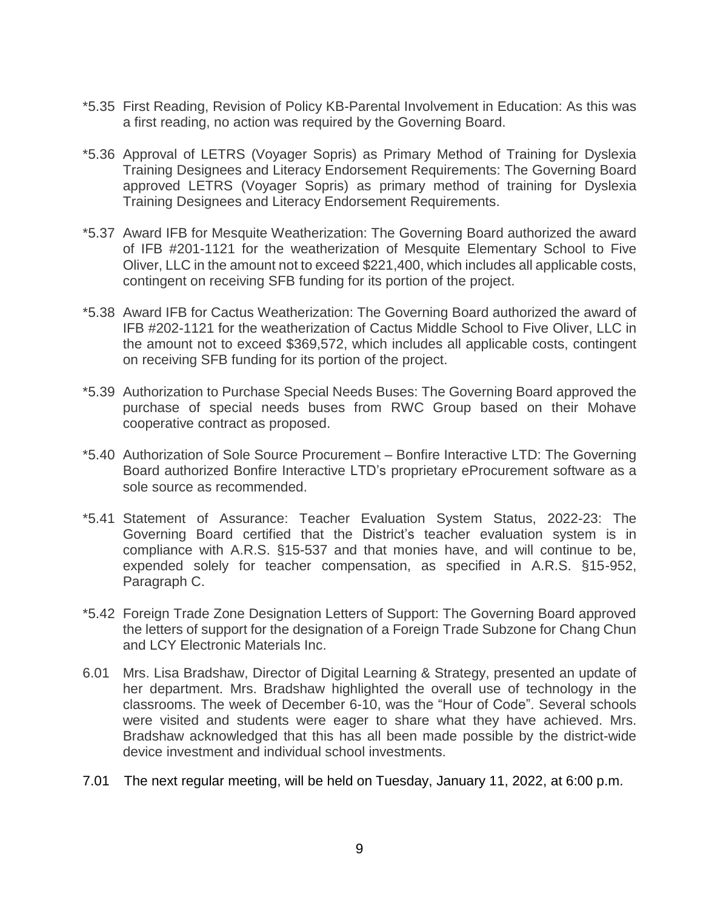- \*5.35 First Reading, Revision of Policy KB-Parental Involvement in Education: As this was a first reading, no action was required by the Governing Board.
- \*5.36 Approval of LETRS (Voyager Sopris) as Primary Method of Training for Dyslexia Training Designees and Literacy Endorsement Requirements: The Governing Board approved LETRS (Voyager Sopris) as primary method of training for Dyslexia Training Designees and Literacy Endorsement Requirements.
- \*5.37 Award IFB for Mesquite Weatherization: The Governing Board authorized the award of IFB #201-1121 for the weatherization of Mesquite Elementary School to Five Oliver, LLC in the amount not to exceed \$221,400, which includes all applicable costs, contingent on receiving SFB funding for its portion of the project.
- \*5.38 Award IFB for Cactus Weatherization: The Governing Board authorized the award of IFB #202-1121 for the weatherization of Cactus Middle School to Five Oliver, LLC in the amount not to exceed \$369,572, which includes all applicable costs, contingent on receiving SFB funding for its portion of the project.
- \*5.39 Authorization to Purchase Special Needs Buses: The Governing Board approved the purchase of special needs buses from RWC Group based on their Mohave cooperative contract as proposed.
- \*5.40 Authorization of Sole Source Procurement Bonfire Interactive LTD: The Governing Board authorized Bonfire Interactive LTD's proprietary eProcurement software as a sole source as recommended.
- \*5.41 Statement of Assurance: Teacher Evaluation System Status, 2022-23: The Governing Board certified that the District's teacher evaluation system is in compliance with A.R.S. §15-537 and that monies have, and will continue to be, expended solely for teacher compensation, as specified in A.R.S. §15-952, Paragraph C.
- \*5.42 Foreign Trade Zone Designation Letters of Support: The Governing Board approved the letters of support for the designation of a Foreign Trade Subzone for Chang Chun and LCY Electronic Materials Inc.
- 6.01 Mrs. Lisa Bradshaw, Director of Digital Learning & Strategy, presented an update of her department. Mrs. Bradshaw highlighted the overall use of technology in the classrooms. The week of December 6-10, was the "Hour of Code". Several schools were visited and students were eager to share what they have achieved. Mrs. Bradshaw acknowledged that this has all been made possible by the district-wide device investment and individual school investments.
- 7.01 The next regular meeting, will be held on Tuesday, January 11, 2022, at 6:00 p.m.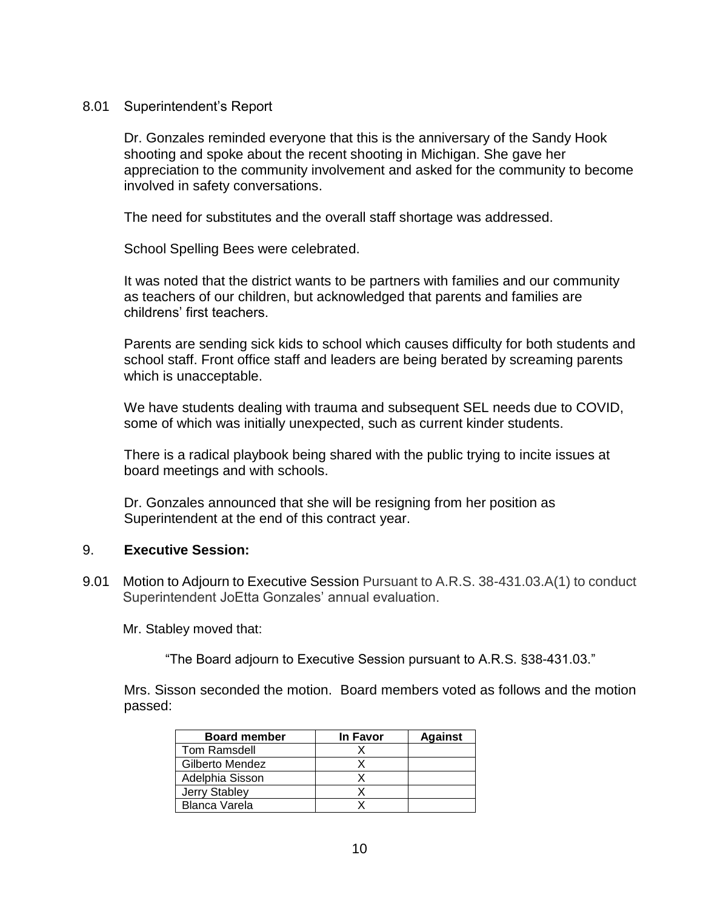# 8.01 Superintendent's Report

Dr. Gonzales reminded everyone that this is the anniversary of the Sandy Hook shooting and spoke about the recent shooting in Michigan. She gave her appreciation to the community involvement and asked for the community to become involved in safety conversations.

The need for substitutes and the overall staff shortage was addressed.

School Spelling Bees were celebrated.

It was noted that the district wants to be partners with families and our community as teachers of our children, but acknowledged that parents and families are childrens' first teachers.

Parents are sending sick kids to school which causes difficulty for both students and school staff. Front office staff and leaders are being berated by screaming parents which is unacceptable.

We have students dealing with trauma and subsequent SEL needs due to COVID, some of which was initially unexpected, such as current kinder students.

There is a radical playbook being shared with the public trying to incite issues at board meetings and with schools.

Dr. Gonzales announced that she will be resigning from her position as Superintendent at the end of this contract year.

# 9. **Executive Session:**

9.01 Motion to Adjourn to Executive Session Pursuant to A.R.S. 38-431.03.A(1) to conduct Superintendent JoEtta Gonzales' annual evaluation.

Mr. Stabley moved that:

"The Board adjourn to Executive Session pursuant to A.R.S. §38-431.03."

Mrs. Sisson seconded the motion. Board members voted as follows and the motion passed:

| <b>Board member</b>  | In Favor | <b>Against</b> |
|----------------------|----------|----------------|
| Tom Ramsdell         |          |                |
| Gilberto Mendez      |          |                |
| Adelphia Sisson      |          |                |
| Jerry Stabley        |          |                |
| <b>Blanca Varela</b> |          |                |